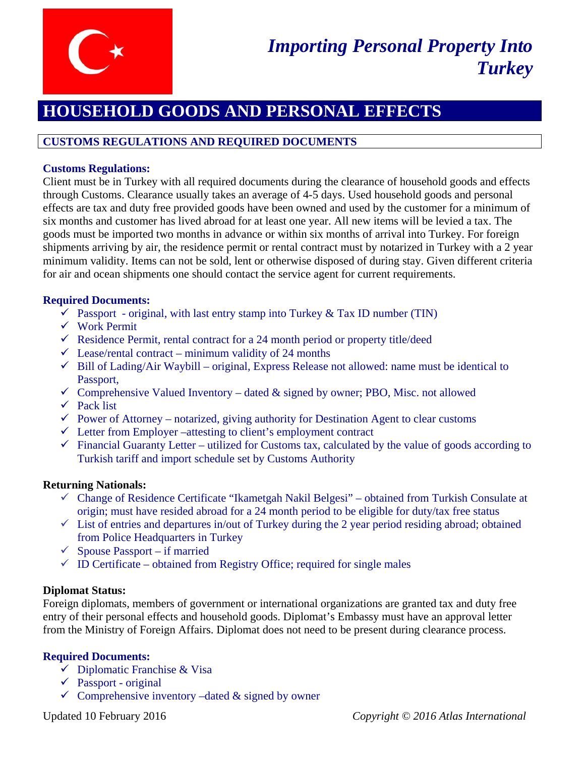

# **HOUSEHOLD GOODS AND PERSONAL EFFECTS**

# **CUSTOMS REGULATIONS AND REQUIRED DOCUMENTS**

## **Customs Regulations:**

Client must be in Turkey with all required documents during the clearance of household goods and effects through Customs. Clearance usually takes an average of 4-5 days. Used household goods and personal effects are tax and duty free provided goods have been owned and used by the customer for a minimum of six months and customer has lived abroad for at least one year. All new items will be levied a tax. The goods must be imported two months in advance or within six months of arrival into Turkey. For foreign shipments arriving by air, the residence permit or rental contract must by notarized in Turkey with a 2 year minimum validity. Items can not be sold, lent or otherwise disposed of during stay. Given different criteria for air and ocean shipments one should contact the service agent for current requirements.

## **Required Documents:**

- Passport original, with last entry stamp into Turkey & Tax ID number (TIN)
- Work Permit
- $\checkmark$  Residence Permit, rental contract for a 24 month period or property title/deed
- $\checkmark$  Lease/rental contract minimum validity of 24 months
- $\checkmark$  Bill of Lading/Air Waybill original, Express Release not allowed: name must be identical to Passport,
- $\checkmark$  Comprehensive Valued Inventory dated & signed by owner; PBO, Misc. not allowed
- $\checkmark$  Pack list
- $\checkmark$  Power of Attorney notarized, giving authority for Destination Agent to clear customs
- $\checkmark$  Letter from Employer –attesting to client's employment contract
- $\checkmark$  Financial Guaranty Letter utilized for Customs tax, calculated by the value of goods according to Turkish tariff and import schedule set by Customs Authority

## **Returning Nationals:**

- $\checkmark$  Change of Residence Certificate "Ikametgah Nakil Belgesi" obtained from Turkish Consulate at origin; must have resided abroad for a 24 month period to be eligible for duty/tax free status
- $\checkmark$  List of entries and departures in/out of Turkey during the 2 year period residing abroad; obtained from Police Headquarters in Turkey
- $\checkmark$  Spouse Passport if married
- $\checkmark$  ID Certificate obtained from Registry Office; required for single males

## **Diplomat Status:**

Foreign diplomats, members of government or international organizations are granted tax and duty free entry of their personal effects and household goods. Diplomat's Embassy must have an approval letter from the Ministry of Foreign Affairs. Diplomat does not need to be present during clearance process.

# **Required Documents:**

- $\checkmark$  Diplomatic Franchise & Visa
- $\checkmark$  Passport original
- $\checkmark$  Comprehensive inventory –dated & signed by owner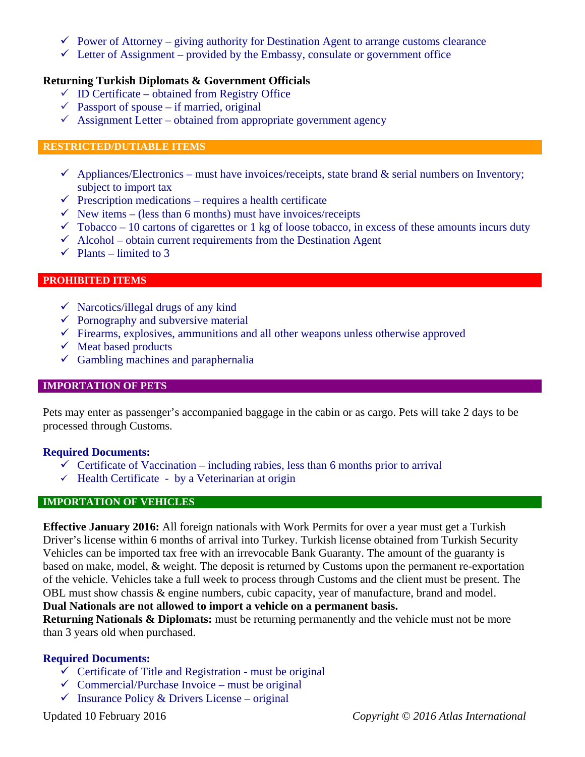- $\checkmark$  Power of Attorney giving authority for Destination Agent to arrange customs clearance
- $\checkmark$  Letter of Assignment provided by the Embassy, consulate or government office

#### **Returning Turkish Diplomats & Government Officials**

- $\checkmark$  ID Certificate obtained from Registry Office
- $\checkmark$  Passport of spouse if married, original
- $\checkmark$  Assignment Letter obtained from appropriate government agency

#### **RESTRICTED/DUTIABLE ITEMS**

- $\checkmark$  Appliances/Electronics must have invoices/receipts, state brand & serial numbers on Inventory; subject to import tax
- $\checkmark$  Prescription medications requires a health certificate
- $\checkmark$  New items (less than 6 months) must have invoices/receipts
- $\checkmark$  Tobacco 10 cartons of cigarettes or 1 kg of loose tobacco, in excess of these amounts incurs duty
- $\checkmark$  Alcohol obtain current requirements from the Destination Agent
- $\checkmark$  Plants limited to 3

#### **PROHIBITED ITEMS**

- $\checkmark$  Narcotics/illegal drugs of any kind
- $\checkmark$  Pornography and subversive material
- $\checkmark$  Firearms, explosives, ammunitions and all other weapons unless otherwise approved
- $\checkmark$  Meat based products
- $\checkmark$  Gambling machines and paraphernalia

#### **IMPORTATION OF PETS**

Pets may enter as passenger's accompanied baggage in the cabin or as cargo. Pets will take 2 days to be processed through Customs.

#### **Required Documents:**

- $\checkmark$  Certificate of Vaccination including rabies, less than 6 months prior to arrival
- $\checkmark$  Health Certificate by a Veterinarian at origin

#### **IMPORTATION OF VEHICLES**

**Effective January 2016:** All foreign nationals with Work Permits for over a year must get a Turkish Driver's license within 6 months of arrival into Turkey. Turkish license obtained from Turkish Security Vehicles can be imported tax free with an irrevocable Bank Guaranty. The amount of the guaranty is based on make, model, & weight. The deposit is returned by Customs upon the permanent re-exportation of the vehicle. Vehicles take a full week to process through Customs and the client must be present. The OBL must show chassis & engine numbers, cubic capacity, year of manufacture, brand and model.

#### **Dual Nationals are not allowed to import a vehicle on a permanent basis.**

**Returning Nationals & Diplomats:** must be returning permanently and the vehicle must not be more than 3 years old when purchased.

## **Required Documents:**

- $\checkmark$  Certificate of Title and Registration must be original
- $\checkmark$  Commercial/Purchase Invoice must be original
- $\checkmark$  Insurance Policy & Drivers License original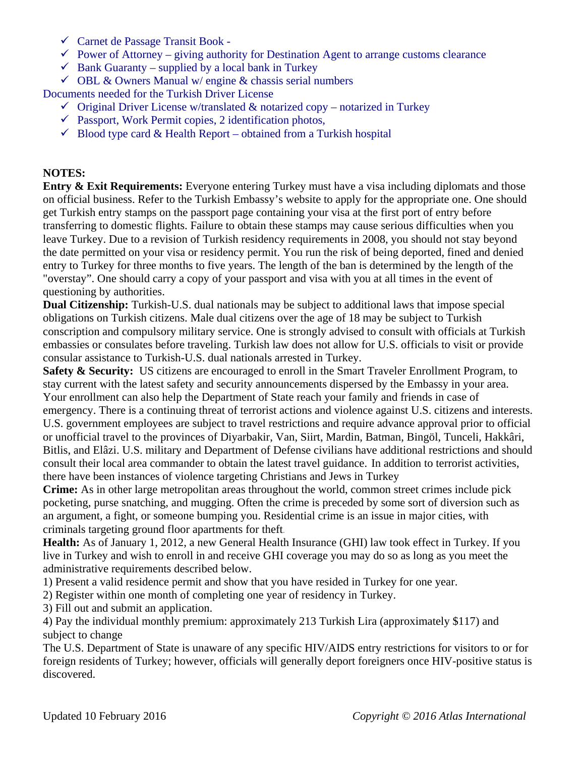- $\checkmark$  Carnet de Passage Transit Book -
- $\checkmark$  Power of Attorney giving authority for Destination Agent to arrange customs clearance
- $\checkmark$  Bank Guaranty supplied by a local bank in Turkey
- $\checkmark$  OBL & Owners Manual w/ engine & chassis serial numbers

Documents needed for the Turkish Driver License

- $\checkmark$  Original Driver License w/translated & notarized copy notarized in Turkey
- $\checkmark$  Passport, Work Permit copies, 2 identification photos,
- $\checkmark$  Blood type card & Health Report obtained from a Turkish hospital

# **NOTES:**

**Entry & Exit Requirements:** Everyone entering Turkey must have a visa including diplomats and those on official business. Refer to the Turkish Embassy's website to apply for the appropriate one. One should get Turkish entry stamps on the passport page containing your visa at the first port of entry before transferring to domestic flights. Failure to obtain these stamps may cause serious difficulties when you leave Turkey. Due to a revision of Turkish residency requirements in 2008, you should not stay beyond the date permitted on your visa or residency permit. You run the risk of being deported, fined and denied entry to Turkey for three months to five years. The length of the ban is determined by the length of the "overstay". One should carry a copy of your passport and visa with you at all times in the event of questioning by authorities.

**Dual Citizenship:** Turkish-U.S. dual nationals may be subject to additional laws that impose special obligations on Turkish citizens. Male dual citizens over the age of 18 may be subject to Turkish conscription and compulsory military service. One is strongly advised to consult with officials at Turkish embassies or consulates before traveling. Turkish law does not allow for U.S. officials to visit or provide consular assistance to Turkish-U.S. dual nationals arrested in Turkey.

Safety & Security: US citizens are encouraged to enroll in the Smart Traveler Enrollment Program, to stay current with the latest safety and security announcements dispersed by the Embassy in your area. Your enrollment can also help the Department of State reach your family and friends in case of emergency. There is a continuing threat of terrorist actions and violence against U.S. citizens and interests. U.S. government employees are subject to travel restrictions and require advance approval prior to official or unofficial travel to the provinces of Diyarbakir, Van, Siirt, Mardin, Batman, Bingöl, Tunceli, Hakkâri, Bitlis, and Elâzi. U.S. military and Department of Defense civilians have additional restrictions and should consult their local area commander to obtain the latest travel guidance. In addition to terrorist activities, there have been instances of violence targeting Christians and Jews in Turkey

**Crime:** As in other large metropolitan areas throughout the world, common street crimes include pick pocketing, purse snatching, and mugging. Often the crime is preceded by some sort of diversion such as an argument, a fight, or someone bumping you. Residential crime is an issue in major cities, with criminals targeting ground floor apartments for theft.

**Health:** As of January 1, 2012, a new General Health Insurance (GHI) law took effect in Turkey. If you live in Turkey and wish to enroll in and receive GHI coverage you may do so as long as you meet the administrative requirements described below.

1) Present a valid residence permit and show that you have resided in Turkey for one year.

2) Register within one month of completing one year of residency in Turkey.

3) Fill out and submit an application.

4) Pay the individual monthly premium: approximately 213 Turkish Lira (approximately \$117) and subject to change

The U.S. Department of State is unaware of any specific HIV/AIDS entry restrictions for visitors to or for foreign residents of Turkey; however, officials will generally deport foreigners once HIV-positive status is discovered.